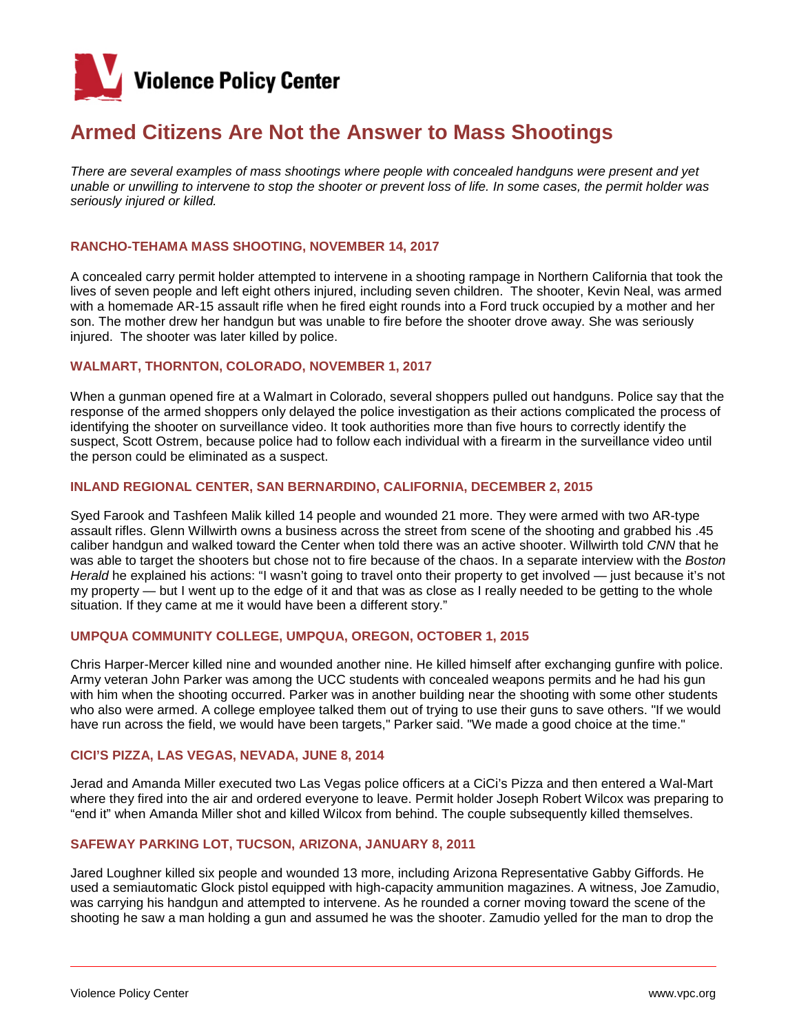

# **Armed Citizens Are Not the Answer to Mass Shootings**

*There are several examples of mass shootings where people with concealed handguns were present and yet unable or unwilling to intervene to stop the shooter or prevent loss of life. In some cases, the permit holder was seriously injured or killed.*

#### **RANCHO-TEHAMA MASS SHOOTING, NOVEMBER 14, 2017**

A concealed carry permit holder attempted to intervene in a shooting rampage in Northern California that took the lives of seven people and left eight others injured, including seven children. The shooter, Kevin Neal, was armed with a homemade AR-15 assault rifle when he fired eight rounds into a Ford truck occupied by a mother and her son. The mother drew her handgun but was unable to fire before the shooter drove away. She was seriously injured. The shooter was later killed by police.

## **WALMART, THORNTON, COLORADO, NOVEMBER 1, 2017**

When a gunman opened fire at a Walmart in Colorado, several shoppers pulled out handguns. Police say that the response of the armed shoppers only delayed the police investigation as their actions complicated the process of identifying the shooter on surveillance video. It took authorities more than five hours to correctly identify the suspect, Scott Ostrem, because police had to follow each individual with a firearm in the surveillance video until the person could be eliminated as a suspect.

#### **INLAND REGIONAL CENTER, SAN BERNARDINO, CALIFORNIA, DECEMBER 2, 2015**

Syed Farook and Tashfeen Malik killed 14 people and wounded 21 more. They were armed with two AR-type assault rifles. Glenn Willwirth owns a business across the street from scene of the shooting and grabbed his .45 caliber handgun and walked toward the Center when told there was an active shooter. Willwirth told *CNN* that he was able to target the shooters but chose not to fire because of the chaos. In a separate interview with the *Boston Herald* he explained his actions: "I wasn't going to travel onto their property to get involved — just because it's not my property — but I went up to the edge of it and that was as close as I really needed to be getting to the whole situation. If they came at me it would have been a different story."

#### **UMPQUA COMMUNITY COLLEGE, UMPQUA, OREGON, OCTOBER 1, 2015**

Chris Harper-Mercer killed nine and wounded another nine. He killed himself after exchanging gunfire with police. Army veteran John Parker was among the UCC students with concealed weapons permits and he had his gun with him when the shooting occurred. Parker was in another building near the shooting with some other students who also were armed. A college employee talked them out of trying to use their guns to save others. "If we would have run across the field, we would have been targets," Parker said. "We made a good choice at the time."

#### **CICI'S PIZZA, LAS VEGAS, NEVADA, JUNE 8, 2014**

Jerad and Amanda Miller executed two Las Vegas police officers at a CiCi's Pizza and then entered a Wal-Mart where they fired into the air and ordered everyone to leave. Permit holder Joseph Robert Wilcox was preparing to "end it" when Amanda Miller shot and killed Wilcox from behind. The couple subsequently killed themselves.

#### **SAFEWAY PARKING LOT, TUCSON, ARIZONA, JANUARY 8, 2011**

Jared Loughner killed six people and wounded 13 more, including Arizona Representative Gabby Giffords. He used a semiautomatic Glock pistol equipped with high-capacity ammunition magazines. A witness, Joe Zamudio, was carrying his handgun and attempted to intervene. As he rounded a corner moving toward the scene of the shooting he saw a man holding a gun and assumed he was the shooter. Zamudio yelled for the man to drop the